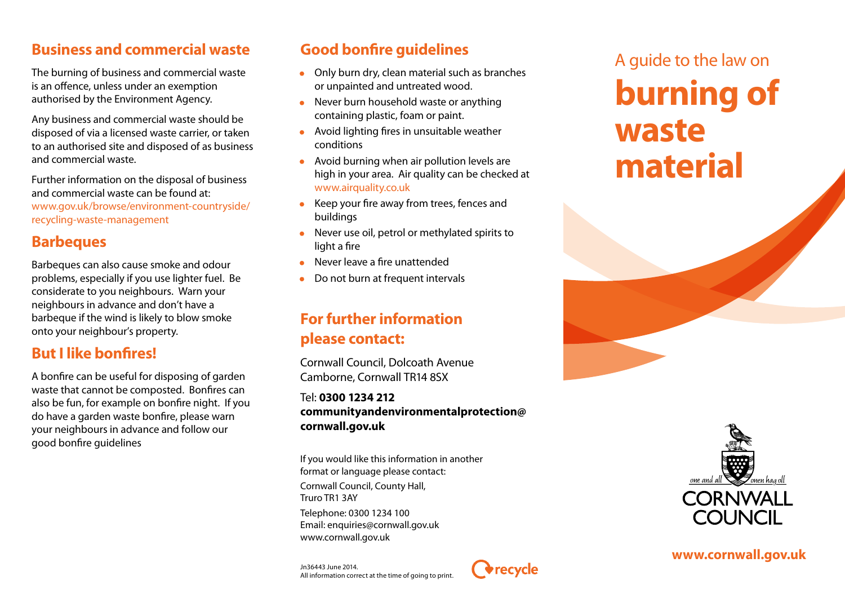# **Business and commercial waste**

The burning of business and commercial waste is an offence, unless under an exemption authorised by the Environment Agency.

Any business and commercial waste should be disposed of via a licensed waste carrier, or taken to an authorised site and disposed of as business and commercial waste.

Further information on the disposal of business and commercial waste can be found at: www.gov.uk/browse/environment-countryside/ recycling-waste-management

# **Barbeques**

Barbeques can also cause smoke and odour problems, especially if you use lighter fuel. Be considerate to you neighbours. Warn your neighbours in advance and don't have a barbeque if the wind is likely to blow smoke onto your neighbour's property.

## **But I like bonfires!**

A bonfire can be useful for disposing of garden waste that cannot be composted. Bonfires can also be fun, for example on bonfire night. If you do have a garden waste bonfire, please warn your neighbours in advance and follow our good bonfire guidelines

# **Good bonfire guidelines**

- Only burn dry, clean material such as branches or unpainted and untreated wood.
- Never burn household waste or anything containing plastic, foam or paint.
- Avoid lighting fires in unsuitable weather conditions
- Avoid burning when air pollution levels are high in your area. Air quality can be checked at www.airquality.co.uk
- Keep your fire away from trees, fences and buildings
- Never use oil, petrol or methylated spirits to light a fire
- Never leave a fire unattended
- Do not burn at frequent intervals

# **For further information please contact:**

Cornwall Council, Dolcoath Avenue Camborne, Cornwall TR14 8SX

#### Tel: **0300 1234 212 communityandenvironmentalprotection@ cornwall.gov.uk**

*<u>Arecycle</u>* 

If you would like this information in another format or language please contact: Cornwall Council, County Hall, Truro TR1 3AY Telephone: 0300 1234 100 Email: enquiries@cornwall.gov.uk www.cornwall.gov.uk





**www.cornwall.gov.uk**